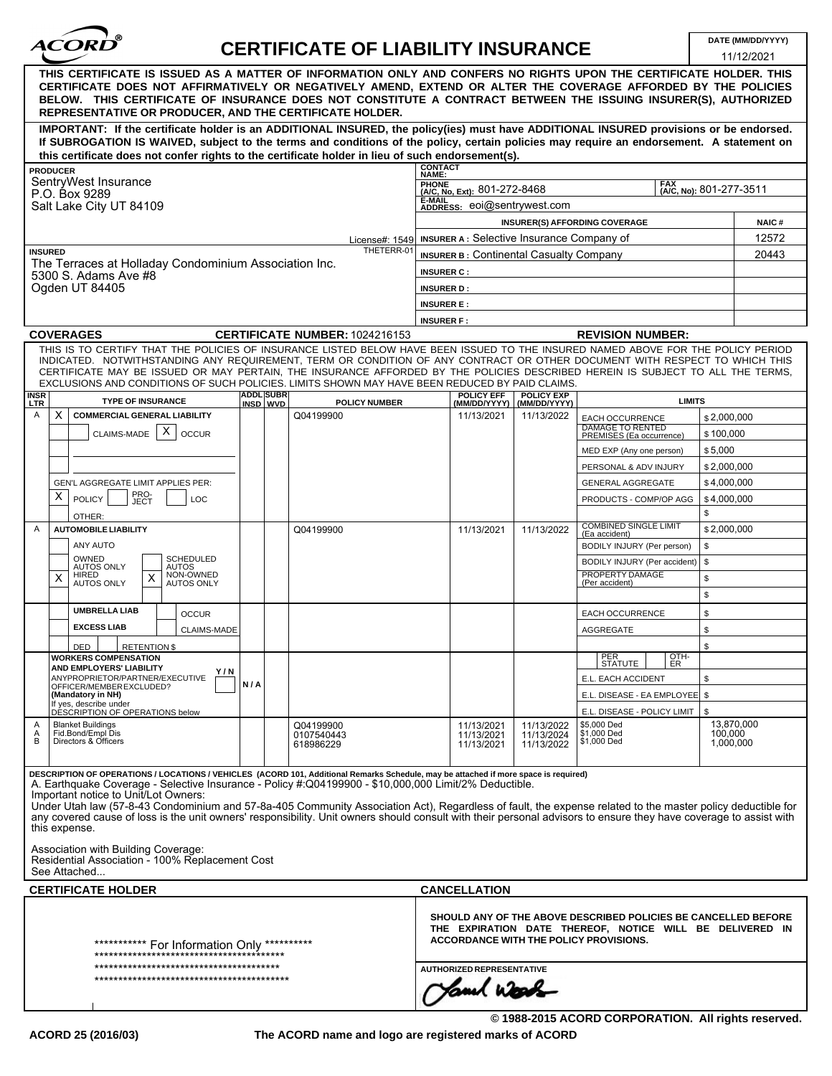

## **CERTIFICATE OF LIABILITY INSURANCE DATE (MM/DD/YYYY)**

|                                                                                                                                                                                                                                                                                                                                                                                                                  |                                                                                                                                                                                                                                                                                                                                                                                                                                                                                                                                                                                                                                                                                                                                                     |                              |  |                                |                                                                                                                                                                      |                                                                  | LIADILI I INJUNANCE               |                                                     |                            | 11/12/2021     |  |
|------------------------------------------------------------------------------------------------------------------------------------------------------------------------------------------------------------------------------------------------------------------------------------------------------------------------------------------------------------------------------------------------------------------|-----------------------------------------------------------------------------------------------------------------------------------------------------------------------------------------------------------------------------------------------------------------------------------------------------------------------------------------------------------------------------------------------------------------------------------------------------------------------------------------------------------------------------------------------------------------------------------------------------------------------------------------------------------------------------------------------------------------------------------------------------|------------------------------|--|--------------------------------|----------------------------------------------------------------------------------------------------------------------------------------------------------------------|------------------------------------------------------------------|-----------------------------------|-----------------------------------------------------|----------------------------|----------------|--|
| THIS CERTIFICATE IS ISSUED AS A MATTER OF INFORMATION ONLY AND CONFERS NO RIGHTS UPON THE CERTIFICATE HOLDER. THIS<br>CERTIFICATE DOES NOT AFFIRMATIVELY OR NEGATIVELY AMEND, EXTEND OR ALTER THE COVERAGE AFFORDED BY THE POLICIES<br>BELOW. THIS CERTIFICATE OF INSURANCE DOES NOT CONSTITUTE A CONTRACT BETWEEN THE ISSUING INSURER(S), AUTHORIZED<br>REPRESENTATIVE OR PRODUCER, AND THE CERTIFICATE HOLDER. |                                                                                                                                                                                                                                                                                                                                                                                                                                                                                                                                                                                                                                                                                                                                                     |                              |  |                                |                                                                                                                                                                      |                                                                  |                                   |                                                     |                            |                |  |
|                                                                                                                                                                                                                                                                                                                                                                                                                  | IMPORTANT: If the certificate holder is an ADDITIONAL INSURED, the policy(ies) must have ADDITIONAL INSURED provisions or be endorsed.<br>If SUBROGATION IS WAIVED, subject to the terms and conditions of the policy, certain policies may require an endorsement. A statement on                                                                                                                                                                                                                                                                                                                                                                                                                                                                  |                              |  |                                |                                                                                                                                                                      |                                                                  |                                   |                                                     |                            |                |  |
|                                                                                                                                                                                                                                                                                                                                                                                                                  | this certificate does not confer rights to the certificate holder in lieu of such endorsement(s).                                                                                                                                                                                                                                                                                                                                                                                                                                                                                                                                                                                                                                                   |                              |  |                                |                                                                                                                                                                      |                                                                  |                                   |                                                     |                            |                |  |
| <b>PRODUCER</b>                                                                                                                                                                                                                                                                                                                                                                                                  |                                                                                                                                                                                                                                                                                                                                                                                                                                                                                                                                                                                                                                                                                                                                                     |                              |  |                                | <b>CONTACT</b><br>NAME:                                                                                                                                              |                                                                  |                                   |                                                     |                            |                |  |
| SentryWest Insurance<br>P.O. Box 9289                                                                                                                                                                                                                                                                                                                                                                            |                                                                                                                                                                                                                                                                                                                                                                                                                                                                                                                                                                                                                                                                                                                                                     |                              |  |                                |                                                                                                                                                                      | PHONE<br>(A/C, No, Ext): 801-272-8468<br>(A/C, No): 801-277-3511 |                                   |                                                     |                            |                |  |
| Salt Lake City UT 84109                                                                                                                                                                                                                                                                                                                                                                                          |                                                                                                                                                                                                                                                                                                                                                                                                                                                                                                                                                                                                                                                                                                                                                     |                              |  |                                | <b>E-MAIL</b><br>ADDRESS: eoi@sentrywest.com                                                                                                                         |                                                                  |                                   |                                                     |                            |                |  |
|                                                                                                                                                                                                                                                                                                                                                                                                                  |                                                                                                                                                                                                                                                                                                                                                                                                                                                                                                                                                                                                                                                                                                                                                     |                              |  |                                | <b>INSURER(S) AFFORDING COVERAGE</b><br>INSURER A: Selective Insurance Company of                                                                                    |                                                                  |                                   |                                                     |                            | <b>NAIC#</b>   |  |
| License#: 1549<br>THETERR-01<br><b>INSURED</b><br>The Terraces at Holladay Condominium Association Inc.<br>5300 S. Adams Ave #8<br>Ogden UT 84405                                                                                                                                                                                                                                                                |                                                                                                                                                                                                                                                                                                                                                                                                                                                                                                                                                                                                                                                                                                                                                     |                              |  |                                | <b>INSURER B: Continental Casualty Company</b>                                                                                                                       |                                                                  |                                   |                                                     |                            | 12572<br>20443 |  |
|                                                                                                                                                                                                                                                                                                                                                                                                                  |                                                                                                                                                                                                                                                                                                                                                                                                                                                                                                                                                                                                                                                                                                                                                     |                              |  |                                | <b>INSURER C:</b>                                                                                                                                                    |                                                                  |                                   |                                                     |                            |                |  |
|                                                                                                                                                                                                                                                                                                                                                                                                                  |                                                                                                                                                                                                                                                                                                                                                                                                                                                                                                                                                                                                                                                                                                                                                     |                              |  |                                | <b>INSURER D:</b>                                                                                                                                                    |                                                                  |                                   |                                                     |                            |                |  |
|                                                                                                                                                                                                                                                                                                                                                                                                                  |                                                                                                                                                                                                                                                                                                                                                                                                                                                                                                                                                                                                                                                                                                                                                     |                              |  |                                | <b>INSURER E:</b>                                                                                                                                                    |                                                                  |                                   |                                                     |                            |                |  |
|                                                                                                                                                                                                                                                                                                                                                                                                                  |                                                                                                                                                                                                                                                                                                                                                                                                                                                                                                                                                                                                                                                                                                                                                     |                              |  |                                | <b>INSURER F:</b>                                                                                                                                                    |                                                                  |                                   |                                                     |                            |                |  |
|                                                                                                                                                                                                                                                                                                                                                                                                                  | <b>COVERAGES</b><br>THIS IS TO CERTIFY THAT THE POLICIES OF INSURANCE LISTED BELOW HAVE BEEN ISSUED TO THE INSURED NAMED ABOVE FOR THE POLICY PERIOD                                                                                                                                                                                                                                                                                                                                                                                                                                                                                                                                                                                                |                              |  | CERTIFICATE NUMBER: 1024216153 |                                                                                                                                                                      |                                                                  |                                   | <b>REVISION NUMBER:</b>                             |                            |                |  |
|                                                                                                                                                                                                                                                                                                                                                                                                                  | INDICATED. NOTWITHSTANDING ANY REQUIREMENT, TERM OR CONDITION OF ANY CONTRACT OR OTHER DOCUMENT WITH RESPECT TO WHICH THIS<br>CERTIFICATE MAY BE ISSUED OR MAY PERTAIN, THE INSURANCE AFFORDED BY THE POLICIES DESCRIBED HEREIN IS SUBJECT TO ALL THE TERMS,<br>EXCLUSIONS AND CONDITIONS OF SUCH POLICIES. LIMITS SHOWN MAY HAVE BEEN REDUCED BY PAID CLAIMS.                                                                                                                                                                                                                                                                                                                                                                                      |                              |  |                                |                                                                                                                                                                      |                                                                  |                                   |                                                     |                            |                |  |
| <b>INSR</b><br><b>LTR</b>                                                                                                                                                                                                                                                                                                                                                                                        | <b>TYPE OF INSURANCE</b>                                                                                                                                                                                                                                                                                                                                                                                                                                                                                                                                                                                                                                                                                                                            | <b>ADDL SUBR</b><br>INSD WVD |  | <b>POLICY NUMBER</b>           |                                                                                                                                                                      | <b>POLICY EFF</b><br>(MM/DD/YYYY)                                | <b>POLICY EXP</b><br>(MM/DD/YYYY) |                                                     | <b>LIMITS</b>              |                |  |
| X<br>Α                                                                                                                                                                                                                                                                                                                                                                                                           | <b>COMMERCIAL GENERAL LIABILITY</b>                                                                                                                                                                                                                                                                                                                                                                                                                                                                                                                                                                                                                                                                                                                 |                              |  | Q04199900                      |                                                                                                                                                                      | 11/13/2021                                                       | 11/13/2022                        | <b>EACH OCCURRENCE</b><br><b>DAMAGE TO RENTED</b>   | \$2,000,000                |                |  |
|                                                                                                                                                                                                                                                                                                                                                                                                                  | X<br>CLAIMS-MADE<br><b>OCCUR</b>                                                                                                                                                                                                                                                                                                                                                                                                                                                                                                                                                                                                                                                                                                                    |                              |  |                                |                                                                                                                                                                      |                                                                  |                                   | PREMISES (Ea occurrence)                            | \$100,000                  |                |  |
|                                                                                                                                                                                                                                                                                                                                                                                                                  |                                                                                                                                                                                                                                                                                                                                                                                                                                                                                                                                                                                                                                                                                                                                                     |                              |  |                                |                                                                                                                                                                      |                                                                  |                                   | MED EXP (Any one person)                            | \$5,000                    |                |  |
|                                                                                                                                                                                                                                                                                                                                                                                                                  |                                                                                                                                                                                                                                                                                                                                                                                                                                                                                                                                                                                                                                                                                                                                                     |                              |  |                                |                                                                                                                                                                      |                                                                  |                                   | PERSONAL & ADV INJURY<br><b>GENERAL AGGREGATE</b>   | \$2,000,000<br>\$4,000,000 |                |  |
| GEN'L AGGREGATE LIMIT APPLIES PER:<br>PRO-<br>JECT<br>X<br><b>POLICY</b><br>LOC                                                                                                                                                                                                                                                                                                                                  |                                                                                                                                                                                                                                                                                                                                                                                                                                                                                                                                                                                                                                                                                                                                                     |                              |  |                                |                                                                                                                                                                      |                                                                  |                                   | PRODUCTS - COMP/OP AGG                              | \$4,000,000                |                |  |
|                                                                                                                                                                                                                                                                                                                                                                                                                  | OTHER:                                                                                                                                                                                                                                                                                                                                                                                                                                                                                                                                                                                                                                                                                                                                              |                              |  |                                |                                                                                                                                                                      |                                                                  |                                   |                                                     | \$                         |                |  |
| <b>AUTOMOBILE LIABILITY</b><br>Α                                                                                                                                                                                                                                                                                                                                                                                 |                                                                                                                                                                                                                                                                                                                                                                                                                                                                                                                                                                                                                                                                                                                                                     |                              |  | Q04199900                      | 11/13/2021                                                                                                                                                           |                                                                  | 11/13/2022                        | <b>COMBINED SINGLE LIMIT</b><br>(Ea accident)       | \$2,000,000                |                |  |
|                                                                                                                                                                                                                                                                                                                                                                                                                  | ANY AUTO                                                                                                                                                                                                                                                                                                                                                                                                                                                                                                                                                                                                                                                                                                                                            |                              |  |                                |                                                                                                                                                                      |                                                                  |                                   | BODILY INJURY (Per person)                          | \$                         |                |  |
|                                                                                                                                                                                                                                                                                                                                                                                                                  | OWNED<br><b>SCHEDULED</b><br><b>AUTOS ONLY</b><br><b>AUTOS</b><br>NON-OWNED<br><b>HIRED</b>                                                                                                                                                                                                                                                                                                                                                                                                                                                                                                                                                                                                                                                         |                              |  |                                |                                                                                                                                                                      |                                                                  |                                   | BODILY INJURY (Per accident)<br>PROPERTY DAMAGE     | \$                         |                |  |
| х                                                                                                                                                                                                                                                                                                                                                                                                                | X<br><b>AUTOS ONLY</b><br><b>AUTOS ONLY</b>                                                                                                                                                                                                                                                                                                                                                                                                                                                                                                                                                                                                                                                                                                         |                              |  |                                |                                                                                                                                                                      |                                                                  |                                   | (Per accident)                                      | \$<br>\$                   |                |  |
|                                                                                                                                                                                                                                                                                                                                                                                                                  | <b>UMBRELLA LIAB</b><br><b>OCCUR</b>                                                                                                                                                                                                                                                                                                                                                                                                                                                                                                                                                                                                                                                                                                                |                              |  |                                |                                                                                                                                                                      |                                                                  |                                   | EACH OCCURRENCE                                     | \$                         |                |  |
|                                                                                                                                                                                                                                                                                                                                                                                                                  | <b>EXCESS LIAB</b><br><b>CLAIMS-MADE</b>                                                                                                                                                                                                                                                                                                                                                                                                                                                                                                                                                                                                                                                                                                            |                              |  |                                |                                                                                                                                                                      |                                                                  |                                   | <b>AGGREGATE</b>                                    | \$                         |                |  |
|                                                                                                                                                                                                                                                                                                                                                                                                                  | <b>RETENTION \$</b><br>DED                                                                                                                                                                                                                                                                                                                                                                                                                                                                                                                                                                                                                                                                                                                          |                              |  |                                |                                                                                                                                                                      |                                                                  |                                   |                                                     | \$                         |                |  |
|                                                                                                                                                                                                                                                                                                                                                                                                                  | <b>WORKERS COMPENSATION</b><br>AND EMPLOYERS' LIABILITY                                                                                                                                                                                                                                                                                                                                                                                                                                                                                                                                                                                                                                                                                             |                              |  |                                |                                                                                                                                                                      |                                                                  |                                   | PER<br>OTH-<br>STATUTE  <br> ER                     |                            |                |  |
|                                                                                                                                                                                                                                                                                                                                                                                                                  | Y/N<br>ANYPROPRIETOR/PARTNER/EXECUTIVE<br>OFFICER/MEMBER EXCLUDED?                                                                                                                                                                                                                                                                                                                                                                                                                                                                                                                                                                                                                                                                                  | N/A                          |  |                                |                                                                                                                                                                      |                                                                  |                                   | E.L. EACH ACCIDENT                                  | \$                         |                |  |
|                                                                                                                                                                                                                                                                                                                                                                                                                  | (Mandatory in NH)<br>If yes, describe under                                                                                                                                                                                                                                                                                                                                                                                                                                                                                                                                                                                                                                                                                                         |                              |  |                                |                                                                                                                                                                      |                                                                  |                                   | E.L. DISEASE - EA EMPLOYEE   \$                     |                            |                |  |
| Α                                                                                                                                                                                                                                                                                                                                                                                                                | DÉSCRIPTION OF OPERATIONS below<br><b>Blanket Buildings</b>                                                                                                                                                                                                                                                                                                                                                                                                                                                                                                                                                                                                                                                                                         |                              |  | Q04199900                      |                                                                                                                                                                      | 11/13/2021                                                       | 11/13/2022                        | E.L. DISEASE - POLICY LIMIT  <br>\$5,000 Ded        | \$                         | 13,870,000     |  |
| Α<br>B                                                                                                                                                                                                                                                                                                                                                                                                           | Fid.Bond/Empl Dis<br>Directors & Officers                                                                                                                                                                                                                                                                                                                                                                                                                                                                                                                                                                                                                                                                                                           |                              |  | 0107540443<br>618986229        |                                                                                                                                                                      | 11/13/2021<br>11/13/2021                                         | 11/13/2024<br>11/13/2022          | \$1,000 Ded<br>\$1,000 Ded                          | 100,000<br>1,000,000       |                |  |
|                                                                                                                                                                                                                                                                                                                                                                                                                  | DESCRIPTION OF OPERATIONS / LOCATIONS / VEHICLES (ACORD 101, Additional Remarks Schedule, may be attached if more space is required)<br>A. Earthquake Coverage - Selective Insurance - Policy #:Q04199900 - \$10,000,000 Limit/2% Deductible.<br>Important notice to Unit/Lot Owners:<br>Under Utah law (57-8-43 Condominium and 57-8a-405 Community Association Act), Regardless of fault, the expense related to the master policy deductible for<br>any covered cause of loss is the unit owners' responsibility. Unit owners should consult with their personal advisors to ensure they have coverage to assist with<br>this expense.<br>Association with Building Coverage:<br>Residential Association - 100% Replacement Cost<br>See Attached |                              |  |                                |                                                                                                                                                                      |                                                                  |                                   |                                                     |                            |                |  |
|                                                                                                                                                                                                                                                                                                                                                                                                                  | <b>CERTIFICATE HOLDER</b>                                                                                                                                                                                                                                                                                                                                                                                                                                                                                                                                                                                                                                                                                                                           |                              |  |                                | <b>CANCELLATION</b>                                                                                                                                                  |                                                                  |                                   |                                                     |                            |                |  |
| ************ For Information Only ***********<br>*************************************                                                                                                                                                                                                                                                                                                                           |                                                                                                                                                                                                                                                                                                                                                                                                                                                                                                                                                                                                                                                                                                                                                     |                              |  |                                | SHOULD ANY OF THE ABOVE DESCRIBED POLICIES BE CANCELLED BEFORE<br>THE EXPIRATION DATE THEREOF, NOTICE WILL BE DELIVERED IN<br>ACCORDANCE WITH THE POLICY PROVISIONS. |                                                                  |                                   |                                                     |                            |                |  |
|                                                                                                                                                                                                                                                                                                                                                                                                                  |                                                                                                                                                                                                                                                                                                                                                                                                                                                                                                                                                                                                                                                                                                                                                     |                              |  |                                |                                                                                                                                                                      | <b>AUTHORIZED REPRESENTATIVE</b>                                 |                                   |                                                     |                            |                |  |
|                                                                                                                                                                                                                                                                                                                                                                                                                  |                                                                                                                                                                                                                                                                                                                                                                                                                                                                                                                                                                                                                                                                                                                                                     |                              |  |                                |                                                                                                                                                                      |                                                                  |                                   |                                                     |                            |                |  |
|                                                                                                                                                                                                                                                                                                                                                                                                                  |                                                                                                                                                                                                                                                                                                                                                                                                                                                                                                                                                                                                                                                                                                                                                     |                              |  |                                |                                                                                                                                                                      |                                                                  |                                   | © 1988-2015 ACORD CORPORATION. All rights reserved. |                            |                |  |

**The ACORD name and logo are registered marks of ACORD**